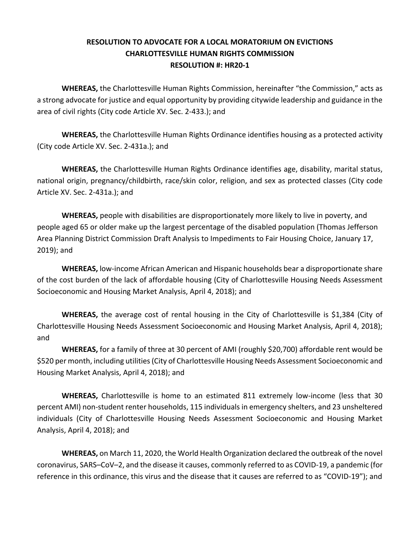## **RESOLUTION TO ADVOCATE FOR A LOCAL MORATORIUM ON EVICTIONS CHARLOTTESVILLE HUMAN RIGHTS COMMISSION RESOLUTION #: HR20-1**

**WHEREAS,** the Charlottesville Human Rights Commission, hereinafter "the Commission," acts as a strong advocate for justice and equal opportunity by providing citywide leadership and guidance in the area of civil rights (City code Article XV. Sec. 2-433.); and

**WHEREAS,** the Charlottesville Human Rights Ordinance identifies housing as a protected activity (City code Article XV. Sec. 2-431a.); and

**WHEREAS,** the Charlottesville Human Rights Ordinance identifies age, disability, marital status, national origin, pregnancy/childbirth, race/skin color, religion, and sex as protected classes (City code Article XV. Sec. 2-431a.); and

**WHEREAS,** people with disabilities are disproportionately more likely to live in poverty, and people aged 65 or older make up the largest percentage of the disabled population (Thomas Jefferson Area Planning District Commission Draft Analysis to Impediments to Fair Housing Choice, January 17, 2019); and

**WHEREAS,** low-income African American and Hispanic households bear a disproportionate share of the cost burden of the lack of affordable housing (City of Charlottesville Housing Needs Assessment Socioeconomic and Housing Market Analysis, April 4, 2018); and

**WHEREAS,** the average cost of rental housing in the City of Charlottesville is \$1,384 (City of Charlottesville Housing Needs Assessment Socioeconomic and Housing Market Analysis, April 4, 2018); and

**WHEREAS,** for a family of three at 30 percent of AMI (roughly \$20,700) affordable rent would be \$520 per month, including utilities (City of Charlottesville Housing Needs Assessment Socioeconomic and Housing Market Analysis, April 4, 2018); and

**WHEREAS,** Charlottesville is home to an estimated 811 extremely low-income (less that 30 percent AMI) non-student renter households, 115 individuals in emergency shelters, and 23 unsheltered individuals (City of Charlottesville Housing Needs Assessment Socioeconomic and Housing Market Analysis, April 4, 2018); and

**WHEREAS,** on March 11, 2020, the World Health Organization declared the outbreak of the novel coronavirus, SARS–CoV–2, and the disease it causes, commonly referred to as COVID-19, a pandemic (for reference in this ordinance, this virus and the disease that it causes are referred to as "COVID-19"); and